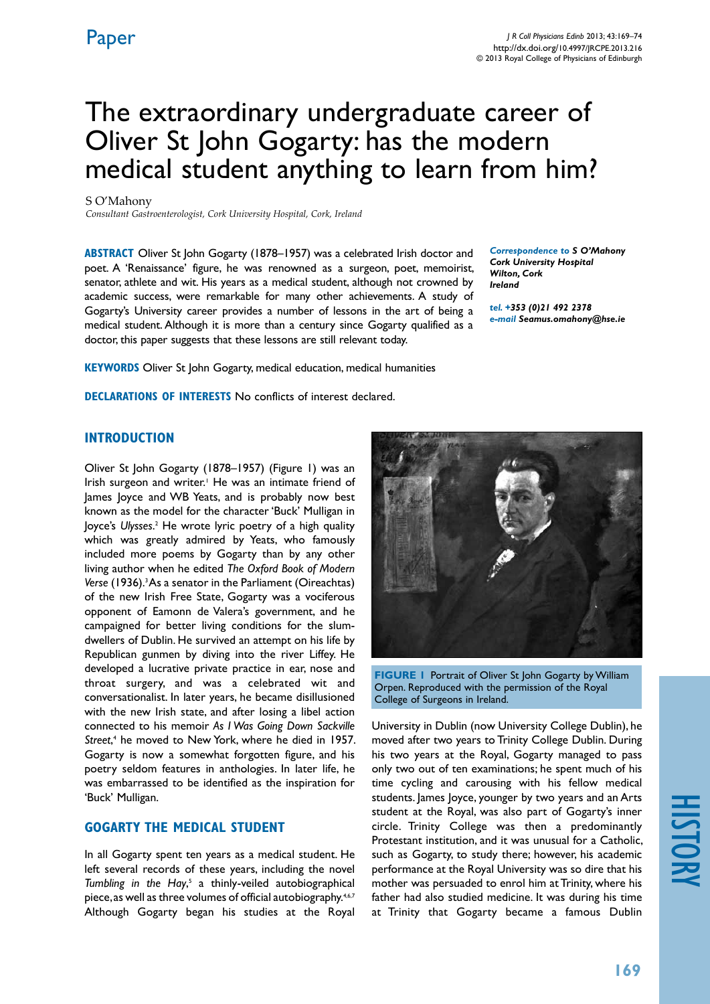# The extraordinary undergraduate career of Oliver St John Gogarty: has the modern medical student anything to learn from him?

S O'Mahony

*Consultant Gastroenterologist, Cork University Hospital, Cork, Ireland*

**ABSTRACT** Oliver St John Gogarty (1878–1957) was a celebrated Irish doctor and poet. A 'Renaissance' figure, he was renowned as a surgeon, poet, memoirist, senator, athlete and wit. His years as a medical student, although not crowned by academic success, were remarkable for many other achievements. A study of Gogarty's University career provides a number of lessons in the art of being a medical student. Although it is more than a century since Gogarty qualified as a doctor, this paper suggests that these lessons are still relevant today.

*Correspondence to S O'Mahony Cork University Hospital Wilton, Cork Ireland*

*tel. +353 (0)21 492 2378 e-mail Seamus.omahony@hse.ie*

**KEYWORDS** Oliver St John Gogarty, medical education, medical humanities

**Declarations of Interests** No conflicts of interest declared.

#### **Introduction**

Oliver St John Gogarty (1878–1957) (Figure 1) was an Irish surgeon and writer.<sup>1</sup> He was an intimate friend of James Joyce and WB Yeats, and is probably now best known as the model for the character 'Buck' Mulligan in Joyce's Ulysses.<sup>2</sup> He wrote lyric poetry of a high quality which was greatly admired by Yeats, who famously included more poems by Gogarty than by any other living author when he edited *The Oxford Book of Modern Verse* (1936).3 As a senator in the Parliament (Oireachtas) of the new Irish Free State, Gogarty was a vociferous opponent of Eamonn de Valera's government, and he campaigned for better living conditions for the slumdwellers of Dublin. He survived an attempt on his life by Republican gunmen by diving into the river Liffey. He developed a lucrative private practice in ear, nose and throat surgery, and was a celebrated wit and conversationalist. In later years, he became disillusioned with the new Irish state, and after losing a libel action connected to his memoir *As I Was Going Down Sackville*  Street,<sup>4</sup> he moved to New York, where he died in 1957. Gogarty is now a somewhat forgotten figure, and his poetry seldom features in anthologies. In later life, he was embarrassed to be identified as the inspiration for 'Buck' Mulligan.

## **Gogarty the medical student**

In all Gogarty spent ten years as a medical student. He left several records of these years, including the novel *Tumbling in the Hay*, 5 a thinly-veiled autobiographical piece, as well as three volumes of official autobiography.<sup>4,6,7</sup> Although Gogarty began his studies at the Royal



**FIGURE 1** Portrait of Oliver St John Gogarty by William Orpen. Reproduced with the permission of the Royal College of Surgeons in Ireland.

University in Dublin (now University College Dublin), he moved after two years to Trinity College Dublin. During his two years at the Royal, Gogarty managed to pass only two out of ten examinations; he spent much of his time cycling and carousing with his fellow medical students. James Joyce, younger by two years and an Arts student at the Royal, was also part of Gogarty's inner circle. Trinity College was then a predominantly Protestant institution, and it was unusual for a Catholic, such as Gogarty, to study there; however, his academic performance at the Royal University was so dire that his mother was persuaded to enrol him at Trinity, where his father had also studied medicine. It was during his time at Trinity that Gogarty became a famous Dublin

# history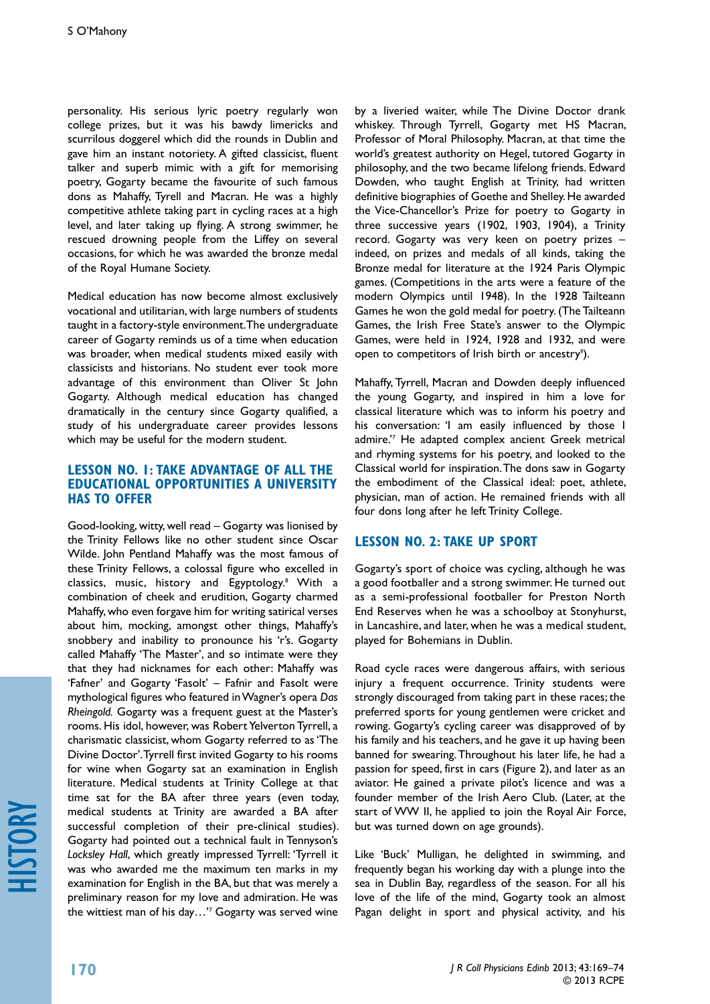personality. His serious lyric poetry regularly won college prizes, but it was his bawdy limericks and scurrilous doggerel which did the rounds in Dublin and gave him an instant notoriety. A gifted classicist, fluent talker and superb mimic with a gift for memorising poetry, Gogarty became the favourite of such famous dons as Mahaffy, Tyrell and Macran. He was a highly competitive athlete taking part in cycling races at a high level, and later taking up flying. A strong swimmer, he rescued drowning people from the Liffey on several occasions, for which he was awarded the bronze medal of the Royal Humane Society.

Medical education has now become almost exclusively vocational and utilitarian, with large numbers of students taught in a factory-style environment. The undergraduate career of Gogarty reminds us of a time when education was broader, when medical students mixed easily with classicists and historians. No student ever took more advantage of this environment than Oliver St John Gogarty. Although medical education has changed dramatically in the century since Gogarty qualified, a study of his undergraduate career provides lessons which may be useful for the modern student.

#### **Lesson No. 1: Take advantage of all the educational opportunities a university has to offer**

Good-looking, witty, well read – Gogarty was lionised by the Trinity Fellows like no other student since Oscar Wilde. John Pentland Mahaffy was the most famous of these Trinity Fellows, a colossal figure who excelled in classics, music, history and Egyptology.8 With a combination of cheek and erudition, Gogarty charmed Mahaffy, who even forgave him for writing satirical verses about him, mocking, amongst other things, Mahaffy's snobbery and inability to pronounce his 'r's. Gogarty called Mahaffy 'The Master', and so intimate were they that they had nicknames for each other: Mahaffy was 'Fafner' and Gogarty 'Fasolt' – Fafnir and Fasolt were mythological figures who featured in Wagner's opera *Das Rheingold.* Gogarty was a frequent guest at the Master's rooms. His idol, however, was Robert Yelverton Tyrrell, a charismatic classicist, whom Gogarty referred to as 'The Divine Doctor'. Tyrrell first invited Gogarty to his rooms for wine when Gogarty sat an examination in English literature. Medical students at Trinity College at that time sat for the BA after three years (even today, medical students at Trinity are awarded a BA after successful completion of their pre-clinical studies). Gogarty had pointed out a technical fault in Tennyson's *Locksley Hall*, which greatly impressed Tyrrell: 'Tyrrell it was who awarded me the maximum ten marks in my examination for English in the BA, but that was merely a preliminary reason for my love and admiration. He was the wittiest man of his day…'7 Gogarty was served wine by a liveried waiter, while The Divine Doctor drank whiskey. Through Tyrrell, Gogarty met HS Macran, Professor of Moral Philosophy. Macran, at that time the world's greatest authority on Hegel, tutored Gogarty in philosophy, and the two became lifelong friends. Edward Dowden, who taught English at Trinity, had written definitive biographies of Goethe and Shelley. He awarded the Vice-Chancellor's Prize for poetry to Gogarty in three successive years (1902, 1903, 1904), a Trinity record. Gogarty was very keen on poetry prizes – indeed, on prizes and medals of all kinds, taking the Bronze medal for literature at the 1924 Paris Olympic games. (Competitions in the arts were a feature of the modern Olympics until 1948). In the 1928 Tailteann Games he won the gold medal for poetry. (The Tailteann Games, the Irish Free State's answer to the Olympic Games, were held in 1924, 1928 and 1932, and were open to competitors of Irish birth or ancestry<sup>9</sup>).

Mahaffy, Tyrrell, Macran and Dowden deeply influenced the young Gogarty, and inspired in him a love for classical literature which was to inform his poetry and his conversation: 'I am easily influenced by those I admire.'7 He adapted complex ancient Greek metrical and rhyming systems for his poetry, and looked to the Classical world for inspiration. The dons saw in Gogarty the embodiment of the Classical ideal: poet, athlete, physician, man of action. He remained friends with all four dons long after he left Trinity College.

### **Lesson No. 2: Take up sport**

Gogarty's sport of choice was cycling, although he was a good footballer and a strong swimmer. He turned out as a semi-professional footballer for Preston North End Reserves when he was a schoolboy at Stonyhurst, in Lancashire, and later, when he was a medical student, played for Bohemians in Dublin.

Road cycle races were dangerous affairs, with serious injury a frequent occurrence. Trinity students were strongly discouraged from taking part in these races; the preferred sports for young gentlemen were cricket and rowing. Gogarty's cycling career was disapproved of by his family and his teachers, and he gave it up having been banned for swearing. Throughout his later life, he had a passion for speed, first in cars (Figure 2), and later as an aviator. He gained a private pilot's licence and was a founder member of the Irish Aero Club. (Later, at the start of WW II, he applied to join the Royal Air Force, but was turned down on age grounds).

Like 'Buck' Mulligan, he delighted in swimming, and frequently began his working day with a plunge into the sea in Dublin Bay, regardless of the season. For all his love of the life of the mind, Gogarty took an almost Pagan delight in sport and physical activity, and his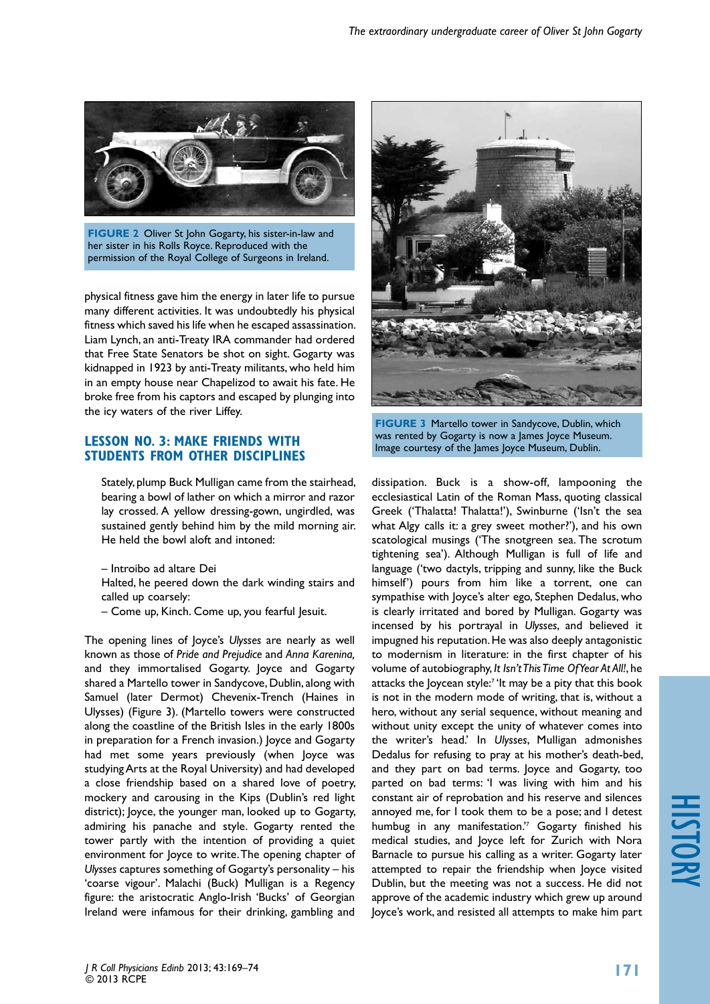

**FIGURE 2** Oliver St John Gogarty, his sister-in-law and her sister in his Rolls Royce. Reproduced with the permission of the Royal College of Surgeons in Ireland.

physical fitness gave him the energy in later life to pursue many different activities. It was undoubtedly his physical fitness which saved his life when he escaped assassination. Liam Lynch, an anti-Treaty IRA commander had ordered that Free State Senators be shot on sight. Gogarty was kidnapped in 1923 by anti-Treaty militants, who held him in an empty house near Chapelizod to await his fate. He broke free from his captors and escaped by plunging into the icy waters of the river Liffey.

#### **Lesson No. 3: Make friends with students from other disciplines**

Stately, plump Buck Mulligan came from the stairhead, bearing a bowl of lather on which a mirror and razor lay crossed. A yellow dressing-gown, ungirdled, was sustained gently behind him by the mild morning air. He held the bowl aloft and intoned:

- Introibo ad altare Dei
- Halted, he peered down the dark winding stairs and called up coarsely:
- Come up, Kinch. Come up, you fearful Jesuit.

The opening lines of Joyce's *Ulysses* are nearly as well known as those of *Pride and Prejudice* and *Anna Karenina,* and they immortalised Gogarty. Joyce and Gogarty shared a Martello tower in Sandycove, Dublin, along with Samuel (later Dermot) Chevenix-Trench (Haines in Ulysses) (Figure 3). (Martello towers were constructed along the coastline of the British Isles in the early 1800s in preparation for a French invasion.) Joyce and Gogarty had met some years previously (when Joyce was studying Arts at the Royal University) and had developed a close friendship based on a shared love of poetry, mockery and carousing in the Kips (Dublin's red light district); Joyce, the younger man, looked up to Gogarty, admiring his panache and style. Gogarty rented the tower partly with the intention of providing a quiet environment for Joyce to write. The opening chapter of *Ulysses* captures something of Gogarty's personality – his 'coarse vigour'. Malachi (Buck) Mulligan is a Regency figure: the aristocratic Anglo-Irish 'Bucks' of Georgian Ireland were infamous for their drinking, gambling and



**figure 3** Martello tower in Sandycove, Dublin, which was rented by Gogarty is now a James Joyce Museum. Image courtesy of the James Joyce Museum, Dublin.

dissipation. Buck is a show-off, lampooning the ecclesiastical Latin of the Roman Mass, quoting classical Greek ('Thalatta! Thalatta!'), Swinburne ('Isn't the sea what Algy calls it: a grey sweet mother?'), and his own scatological musings ('The snotgreen sea. The scrotum tightening sea'). Although Mulligan is full of life and language ('two dactyls, tripping and sunny, like the Buck himself') pours from him like a torrent, one can sympathise with Joyce's alter ego, Stephen Dedalus, who is clearly irritated and bored by Mulligan. Gogarty was incensed by his portrayal in *Ulysses*, and believed it impugned his reputation. He was also deeply antagonistic to modernism in literature: in the first chapter of his volume of autobiography, *It Isn't This Time Of Year At All!*, he attacks the Joycean style:<sup>7</sup> 'It may be a pity that this book is not in the modern mode of writing, that is, without a hero, without any serial sequence, without meaning and without unity except the unity of whatever comes into the writer's head.' In *Ulysses*, Mulligan admonishes Dedalus for refusing to pray at his mother's death-bed, and they part on bad terms. Joyce and Gogarty, too parted on bad terms: 'I was living with him and his constant air of reprobation and his reserve and silences annoyed me, for I took them to be a pose; and I detest humbug in any manifestation.'7 Gogarty finished his medical studies, and Joyce left for Zurich with Nora Barnacle to pursue his calling as a writer. Gogarty later attempted to repair the friendship when Joyce visited Dublin, but the meeting was not a success. He did not approve of the academic industry which grew up around Joyce's work, and resisted all attempts to make him part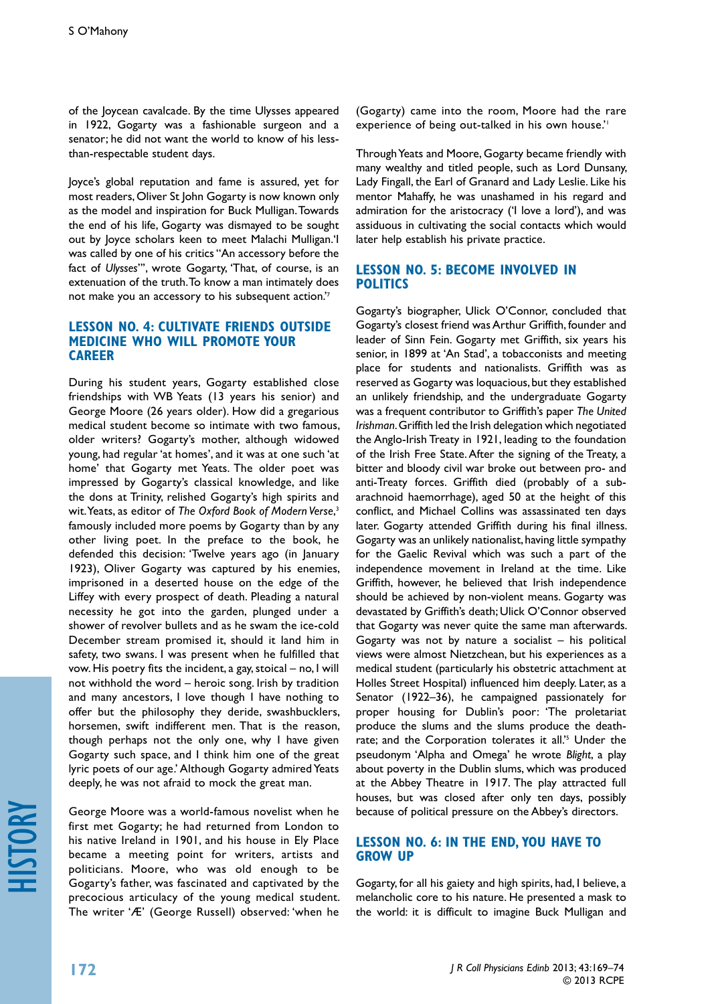of the Joycean cavalcade. By the time Ulysses appeared in 1922, Gogarty was a fashionable surgeon and a senator; he did not want the world to know of his lessthan-respectable student days.

Joyce's global reputation and fame is assured, yet for most readers, Oliver St John Gogarty is now known only as the model and inspiration for Buck Mulligan. Towards the end of his life, Gogarty was dismayed to be sought out by Joyce scholars keen to meet Malachi Mulligan.'I was called by one of his critics "An accessory before the fact of *Ulysses*"', wrote Gogarty, 'That, of course, is an extenuation of the truth. To know a man intimately does not make you an accessory to his subsequent action.'7

#### **Lesson No. 4: Cultivate friends outside medicine who will promote your career**

During his student years, Gogarty established close friendships with WB Yeats (13 years his senior) and George Moore (26 years older). How did a gregarious medical student become so intimate with two famous, older writers? Gogarty's mother, although widowed young, had regular 'at homes', and it was at one such 'at home' that Gogarty met Yeats. The older poet was impressed by Gogarty's classical knowledge, and like the dons at Trinity, relished Gogarty's high spirits and wit. Yeats, as editor of *The Oxford Book of Modern Verse*, 3 famously included more poems by Gogarty than by any other living poet. In the preface to the book, he defended this decision: 'Twelve years ago (in January 1923), Oliver Gogarty was captured by his enemies, imprisoned in a deserted house on the edge of the Liffey with every prospect of death. Pleading a natural necessity he got into the garden, plunged under a shower of revolver bullets and as he swam the ice-cold December stream promised it, should it land him in safety, two swans. I was present when he fulfilled that vow. His poetry fits the incident, a gay, stoical – no, I will not withhold the word – heroic song. Irish by tradition and many ancestors, I love though I have nothing to offer but the philosophy they deride, swashbucklers, horsemen, swift indifferent men. That is the reason, though perhaps not the only one, why I have given Gogarty such space, and I think him one of the great lyric poets of our age.' Although Gogarty admired Yeats deeply, he was not afraid to mock the great man.

George Moore was a world-famous novelist when he first met Gogarty; he had returned from London to his native Ireland in 1901, and his house in Ely Place became a meeting point for writers, artists and politicians. Moore, who was old enough to be Gogarty's father, was fascinated and captivated by the precocious articulacy of the young medical student. The writer 'Æ' (George Russell) observed: 'when he (Gogarty) came into the room, Moore had the rare experience of being out-talked in his own house.<sup>11</sup>

Through Yeats and Moore, Gogarty became friendly with many wealthy and titled people, such as Lord Dunsany, Lady Fingall, the Earl of Granard and Lady Leslie. Like his mentor Mahaffy, he was unashamed in his regard and admiration for the aristocracy ('I love a lord'), and was assiduous in cultivating the social contacts which would later help establish his private practice.

#### **Lesson No. 5: Become involved in politics**

Gogarty's biographer, Ulick O'Connor, concluded that Gogarty's closest friend was Arthur Griffith, founder and leader of Sinn Fein. Gogarty met Griffith, six years his senior, in 1899 at 'An Stad', a tobacconists and meeting place for students and nationalists. Griffith was as reserved as Gogarty was loquacious, but they established an unlikely friendship, and the undergraduate Gogarty was a frequent contributor to Griffith's paper *The United Irishman*. Griffith led the Irish delegation which negotiated the Anglo-Irish Treaty in 1921, leading to the foundation of the Irish Free State. After the signing of the Treaty, a bitter and bloody civil war broke out between pro- and anti-Treaty forces. Griffith died (probably of a subarachnoid haemorrhage), aged 50 at the height of this conflict, and Michael Collins was assassinated ten days later. Gogarty attended Griffith during his final illness. Gogarty was an unlikely nationalist, having little sympathy for the Gaelic Revival which was such a part of the independence movement in Ireland at the time. Like Griffith, however, he believed that Irish independence should be achieved by non-violent means. Gogarty was devastated by Griffith's death; Ulick O'Connor observed that Gogarty was never quite the same man afterwards. Gogarty was not by nature a socialist – his political views were almost Nietzchean, but his experiences as a medical student (particularly his obstetric attachment at Holles Street Hospital) influenced him deeply. Later, as a Senator (1922–36), he campaigned passionately for proper housing for Dublin's poor: 'The proletariat produce the slums and the slums produce the deathrate; and the Corporation tolerates it all.<sup>3</sup> Under the pseudonym 'Alpha and Omega' he wrote *Blight*, a play about poverty in the Dublin slums, which was produced at the Abbey Theatre in 1917. The play attracted full houses, but was closed after only ten days, possibly because of political pressure on the Abbey's directors.

#### **Lesson No. 6: In the end, you have to grow up**

Gogarty, for all his gaiety and high spirits, had, I believe, a melancholic core to his nature. He presented a mask to the world: it is difficult to imagine Buck Mulligan and

history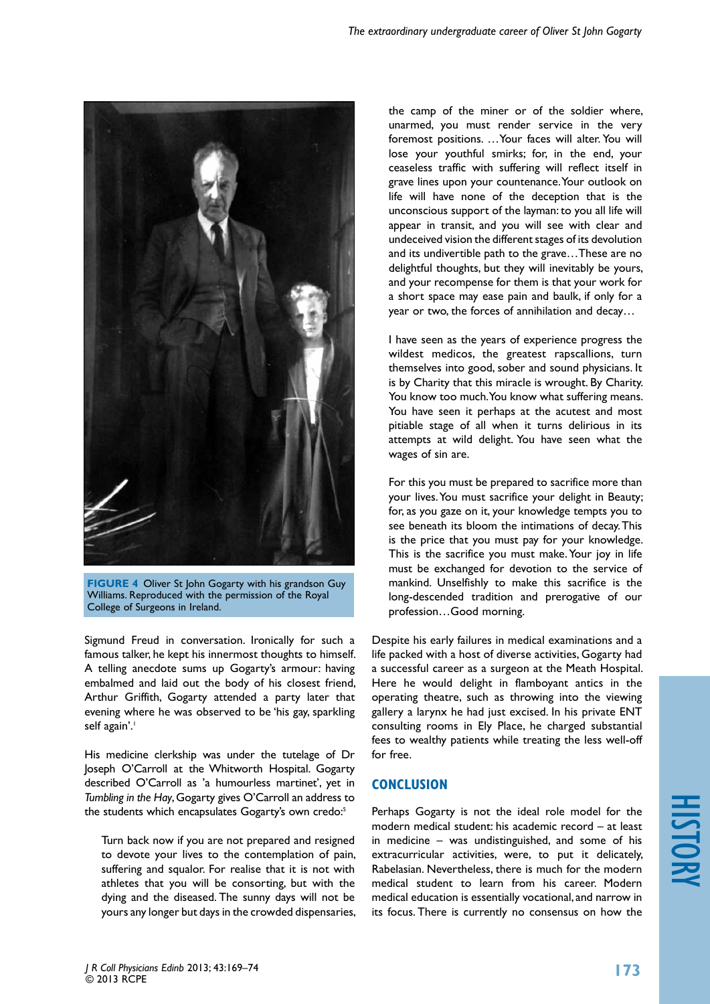

**FIGURE 4** Oliver St John Gogarty with his grandson Guy Williams. Reproduced with the permission of the Royal College of Surgeons in Ireland.

Sigmund Freud in conversation. Ironically for such a famous talker, he kept his innermost thoughts to himself. A telling anecdote sums up Gogarty's armour: having embalmed and laid out the body of his closest friend, Arthur Griffith, Gogarty attended a party later that evening where he was observed to be 'his gay, sparkling self again'.<sup>1</sup>

His medicine clerkship was under the tutelage of Dr Joseph O'Carroll at the Whitworth Hospital. Gogarty described O'Carroll as 'a humourless martinet', yet in *Tumbling in the Hay*, Gogarty gives O'Carroll an address to the students which encapsulates Gogarty's own credo:<sup>5</sup>

Turn back now if you are not prepared and resigned to devote your lives to the contemplation of pain, suffering and squalor. For realise that it is not with athletes that you will be consorting, but with the dying and the diseased. The sunny days will not be yours any longer but days in the crowded dispensaries, the camp of the miner or of the soldier where, unarmed, you must render service in the very foremost positions. …Your faces will alter. You will lose your youthful smirks; for, in the end, your ceaseless traffic with suffering will reflect itself in grave lines upon your countenance. Your outlook on life will have none of the deception that is the unconscious support of the layman: to you all life will appear in transit, and you will see with clear and undeceived vision the different stages of its devolution and its undivertible path to the grave…These are no delightful thoughts, but they will inevitably be yours, and your recompense for them is that your work for a short space may ease pain and baulk, if only for a year or two, the forces of annihilation and decay…

I have seen as the years of experience progress the wildest medicos, the greatest rapscallions, turn themselves into good, sober and sound physicians. It is by Charity that this miracle is wrought. By Charity. You know too much. You know what suffering means. You have seen it perhaps at the acutest and most pitiable stage of all when it turns delirious in its attempts at wild delight. You have seen what the wages of sin are.

For this you must be prepared to sacrifice more than your lives. You must sacrifice your delight in Beauty; for, as you gaze on it, your knowledge tempts you to see beneath its bloom the intimations of decay. This is the price that you must pay for your knowledge. This is the sacrifice you must make. Your joy in life must be exchanged for devotion to the service of mankind. Unselfishly to make this sacrifice is the long-descended tradition and prerogative of our profession…Good morning.

Despite his early failures in medical examinations and a life packed with a host of diverse activities, Gogarty had a successful career as a surgeon at the Meath Hospital. Here he would delight in flamboyant antics in the operating theatre, such as throwing into the viewing gallery a larynx he had just excised. In his private ENT consulting rooms in Ely Place, he charged substantial fees to wealthy patients while treating the less well-off for free.

#### **Conclusion**

Perhaps Gogarty is not the ideal role model for the modern medical student: his academic record – at least in medicine – was undistinguished, and some of his extracurricular activities, were, to put it delicately, Rabelasian. Nevertheless, there is much for the modern medical student to learn from his career. Modern medical education is essentially vocational, and narrow in its focus. There is currently no consensus on how the